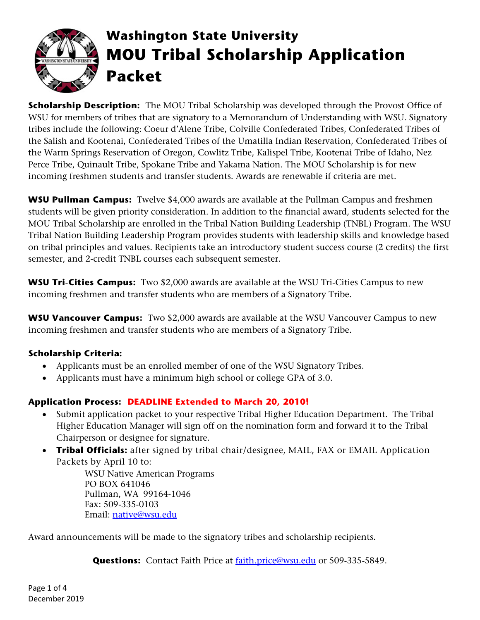

# **Washington State University MOU Tribal Scholarship Application Packet**

**Scholarship Description:** The MOU Tribal Scholarship was developed through the Provost Office of WSU for members of tribes that are signatory to a Memorandum of Understanding with WSU. Signatory tribes include the following: Coeur d'Alene Tribe, Colville Confederated Tribes, Confederated Tribes of the Salish and Kootenai, Confederated Tribes of the Umatilla Indian Reservation, Confederated Tribes of the Warm Springs Reservation of Oregon, Cowlitz Tribe, Kalispel Tribe, Kootenai Tribe of Idaho, Nez Perce Tribe, Quinault Tribe, Spokane Tribe and Yakama Nation. The MOU Scholarship is for new incoming freshmen students and transfer students. Awards are renewable if criteria are met.

**WSU Pullman Campus:** Twelve \$4,000 awards are available at the Pullman Campus and freshmen students will be given priority consideration. In addition to the financial award, students selected for the MOU Tribal Scholarship are enrolled in the Tribal Nation Building Leadership (TNBL) Program. The WSU Tribal Nation Building Leadership Program provides students with leadership skills and knowledge based on tribal principles and values. Recipients take an introductory student success course (2 credits) the first semester, and 2-credit TNBL courses each subsequent semester.

**WSU Tri-Cities Campus:** Two \$2,000 awards are available at the WSU Tri-Cities Campus to new incoming freshmen and transfer students who are members of a Signatory Tribe.

**WSU Vancouver Campus:** Two \$2,000 awards are available at the WSU Vancouver Campus to new incoming freshmen and transfer students who are members of a Signatory Tribe.

### **Scholarship Criteria:**

- Applicants must be an enrolled member of one of the WSU Signatory Tribes.
- Applicants must have a minimum high school or college GPA of 3.0.

### **Application Process: DEADLINE Extended to March 20, 2010!**

- Submit application packet to your respective Tribal Higher Education Department. The Tribal Higher Education Manager will sign off on the nomination form and forward it to the Tribal Chairperson or designee for signature.
- **Tribal Officials:** after signed by tribal chair/designee, MAIL, FAX or EMAIL Application Packets by April 10 to:

WSU Native American Programs PO BOX 641046 Pullman, WA 99164-1046 Fax: 509-335-0103 Email: [native@wsu.edu](mailto:native@wsu.edu)

Award announcements will be made to the signatory tribes and scholarship recipients.

Questions: Contact Faith Price at **faith.price@wsu.edu** or 509-335-5849.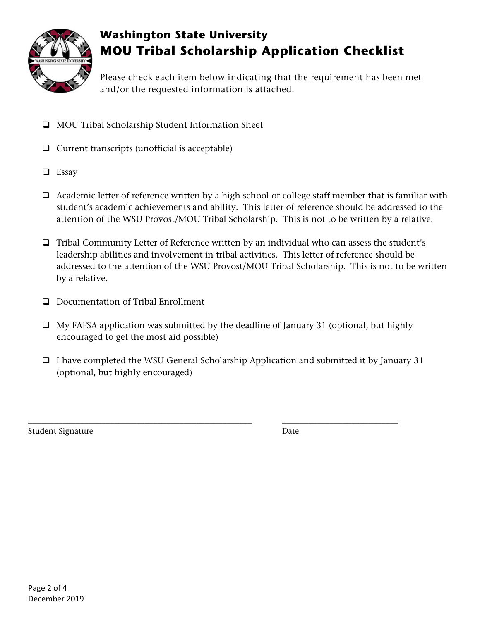

## **Washington State University MOU Tribal Scholarship Application Checklist**

Please check each item below indicating that the requirement has been met and/or the requested information is attached.

- MOU Tribal Scholarship Student Information Sheet
- $\Box$  Current transcripts (unofficial is acceptable)
- **Essay**
- $\Box$  Academic letter of reference written by a high school or college staff member that is familiar with student's academic achievements and ability. This letter of reference should be addressed to the attention of the WSU Provost/MOU Tribal Scholarship. This is not to be written by a relative.
- $\Box$  Tribal Community Letter of Reference written by an individual who can assess the student's leadership abilities and involvement in tribal activities. This letter of reference should be addressed to the attention of the WSU Provost/MOU Tribal Scholarship. This is not to be written by a relative.
- D Documentation of Tribal Enrollment
- $\Box$  My FAFSA application was submitted by the deadline of January 31 (optional, but highly encouraged to get the most aid possible)
- $\Box$  I have completed the WSU General Scholarship Application and submitted it by January 31 (optional, but highly encouraged)

\_\_\_\_\_\_\_\_\_\_\_\_\_\_\_\_\_\_\_\_\_\_\_\_\_\_\_\_\_\_\_\_\_\_\_\_\_\_\_\_\_\_\_\_\_\_\_\_\_\_\_\_ \_\_\_\_\_\_\_\_\_\_\_\_\_\_\_\_\_\_\_\_\_\_\_\_\_\_\_

Student Signature Date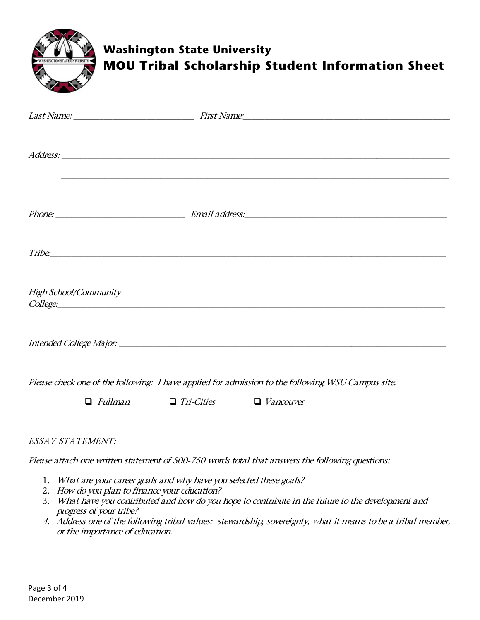| WASHINGTON STATE UNIVERSITY |                | <b>Washington State University</b> | <b>MOU Tribal Scholarship Student Information Sheet</b>                                           |  |
|-----------------------------|----------------|------------------------------------|---------------------------------------------------------------------------------------------------|--|
|                             |                |                                    |                                                                                                   |  |
|                             |                |                                    | ,我们就会在这里的人,我们就会在这里的人,我们就会在这里,我们就会在这里,我们就会在这里,我们就会在这里,我们就会在这里,我们就会在这里,我们就会在这里,我们就                  |  |
|                             |                |                                    |                                                                                                   |  |
|                             |                |                                    |                                                                                                   |  |
| High School/Community       |                |                                    |                                                                                                   |  |
|                             |                |                                    |                                                                                                   |  |
|                             |                |                                    | Please check one of the following: I have applied for admission to the following WSU Campus site: |  |
|                             | $\Box$ Pullman | $\Box$ Tri-Cities                  | $\Box$ Vancouver                                                                                  |  |
|                             |                |                                    |                                                                                                   |  |

#### ESSAY STATEMENT:

Please attach one written statement of 500-750 words total that answers the following questions:

- 1. What are your career goals and why have you selected these goals?
- 2. How do you plan to finance your education?
- 3. What have you contributed and how do you hope to contribute in the future to the development and progress of your tribe?
- 4. Address one of the following tribal values: stewardship, sovereignty, what it means to be a tribal member, or the importance of education.